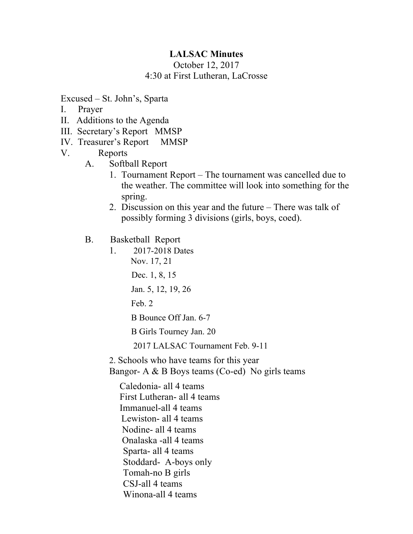## **LALSAC Minutes**

October 12, 2017 4:30 at First Lutheran, LaCrosse

Excused – St. John's, Sparta

- I. Prayer
- II. Additions to the Agenda
- III. Secretary's Report MMSP
- IV. Treasurer's Report MMSP
- V. Reports
	- A. Softball Report
		- 1. Tournament Report The tournament was cancelled due to the weather. The committee will look into something for the spring.
		- 2. Discussion on this year and the future There was talk of possibly forming 3 divisions (girls, boys, coed).
	- B. Basketball Report
		- 1. 2017-2018 Dates Nov. 17, 21 Dec. 1, 8, 15 Jan. 5, 12, 19, 26 Feb. 2 B Bounce Off Jan. 6-7 B Girls Tourney Jan. 20 2017 LALSAC Tournament Feb. 9-11 2. Schools who have teams for this year Bangor- A & B Boys teams (Co-ed) No girls teams Caledonia- all 4 teams First Lutheran- all 4 teams Immanuel-all 4 teams Lewiston- all 4 teams Nodine- all 4 teams Onalaska -all 4 teams Sparta- all 4 teams Stoddard- A-boys only
			- Tomah-no B girls CSJ-all 4 teams
			- Winona-all 4 teams